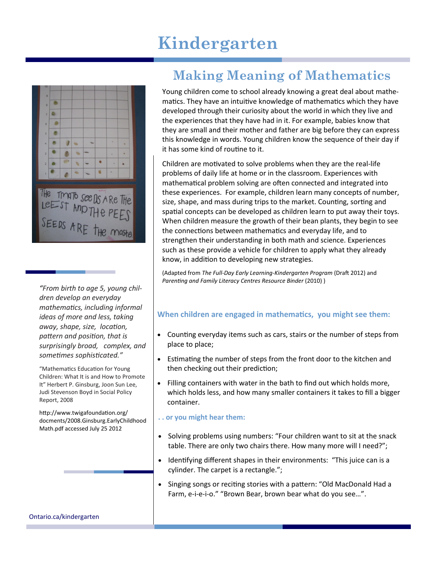# **Kindergarten**



*"From birth to age 5, young children develop an everyday mathematics, including informal ideas of more and less, taking away, shape, size, location, pattern and position, that is surprisingly broad, complex, and sometimes sophisticated."*

"Mathematics Education for Young Children: What It is and How to Promote It" Herbert P. Ginsburg, Joon Sun Lee, Judi Stevenson Boyd in Social Policy Report, 2008

http://www.twigafoundation.org/ docments/2008.Ginsburg.EarlyChildhood Math.pdf accessed July 25 2012

# **Making Meaning of Mathematics**

Young children come to school already knowing a great deal about mathematics. They have an intuitive knowledge of mathematics which they have developed through their curiosity about the world in which they live and the experiences that they have had in it. For example, babies know that they are small and their mother and father are big before they can express this knowledge in words. Young children know the sequence of their day if it has some kind of routine to it.

Children are motivated to solve problems when they are the real-life problems of daily life at home or in the classroom. Experiences with mathematical problem solving are often connected and integrated into these experiences. For example, children learn many concepts of number, size, shape, and mass during trips to the market. Counting, sorting and spatial concepts can be developed as children learn to put away their toys. When children measure the growth of their bean plants, they begin to see the connections between mathematics and everyday life, and to strengthen their understanding in both math and science. Experiences such as these provide a vehicle for children to apply what they already know, in addition to developing new strategies.

(Adapted from *The Full-Day Early Learning-Kindergarten Program* (Draft 2012) and *Parenting and Family Literacy Centres Resource Binder (2010) )* 

# **When children are engaged in mathematics, you might see them:**

- Counting everyday items such as cars, stairs or the number of steps from place to place;
- Estimating the number of steps from the front door to the kitchen and then checking out their prediction;
- Filling containers with water in the bath to find out which holds more, which holds less, and how many smaller containers it takes to fill a bigger container.

### **. . or you might hear them:**

- Solving problems using numbers: "Four children want to sit at the snack table. There are only two chairs there. How many more will I need?";
- Identifying different shapes in their environments: "This juice can is a cylinder. The carpet is a rectangle.";
- Singing songs or reciting stories with a pattern: "Old MacDonald Had a Farm, e-i-e-i-o." "Brown Bear, brown bear what do you see…".